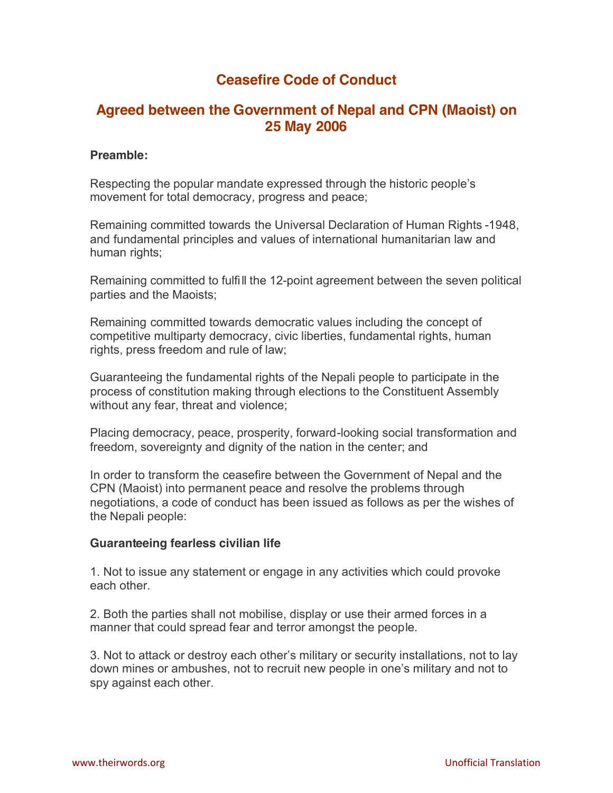# **Ceasefire Code of Conduct**

## **Agreed between the Government of Nepal and CPN (Maoist) on 25 May 2006**

#### **Preamble:**

Respecting the popular mandate expressed through the historic people's movement for total democracy, progress and peace;

Remaining committed towards the Universal Declaration of Human Rights -1948, and fundamental principles and values of international humanitarian law and human rights;

Remaining committed to fulfi ll the 12-point agreement between the seven political parties and the Maoists;

Remaining committed towards democratic values including the concept of competitive multiparty democracy, civic liberties, fundamental rights, human rights, press freedom and rule of law;

Guaranteeing the fundamental rights of the Nepali people to participate in the process of constitution making through elections to the Constituent Assembly without any fear, threat and violence;

Placing democracy, peace, prosperity, forward-looking social transformation and freedom, sovereignty and dignity of the nation in the center; and

In order to transform the ceasefire between the Government of Nepal and the CPN (Maoist) into permanent peace and resolve the problems through negotiations, a code of conduct has been issued as follows as per the wishes of the Nepali people:

## **Guaranteeing fearless civilian life**

1. Not to issue any statement or engage in any activities which could provoke each other.

2. Both the parties shall not mobilise, display or use their armed forces in a manner that could spread fear and terror amongst the people.

3. Not to attack or destroy each other's military or security installations, not to lay down mines or ambushes, not to recruit new people in one's military and not to spy against each other.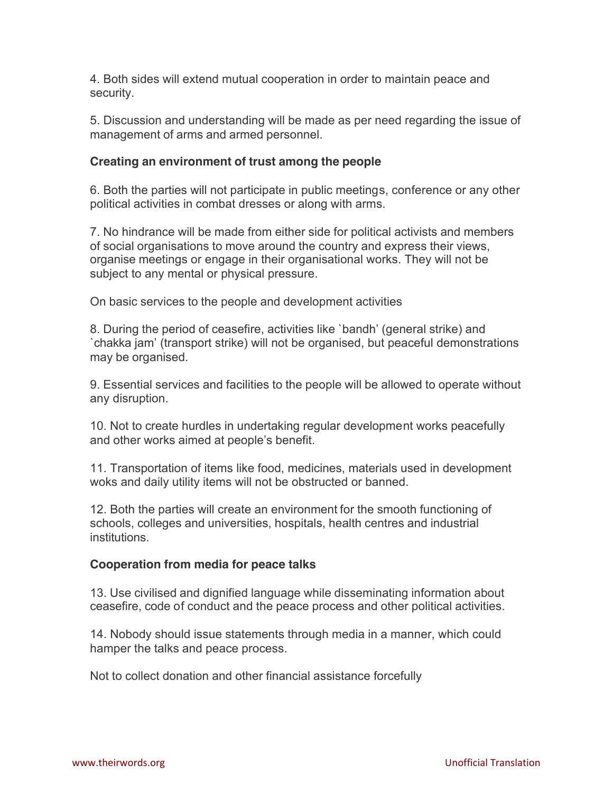4. Both sides will extend mutual cooperation in order to maintain peace and security.

5. Discussion and understanding will be made as per need regarding the issue of management of arms and armed personnel.

### **Creating an environment of trust among the people**

6. Both the parties will not participate in public meetings, conference or any other political activities in combat dresses or along with arms.

7. No hindrance will be made from either side for political activists and members of social organisations to move around the country and express their views, organise meetings or engage in their organisational works. They will not be subject to any mental or physical pressure.

On basic services to the people and development activities

8. During the period of ceasefire, activities like `bandh' (general strike) and `chakka jam' (transport strike) will not be organised, but peaceful demonstrations may be organised.

9. Essential services and facilities to the people will be allowed to operate without any disruption.

10. Not to create hurdles in undertaking regular development works peacefully and other works aimed at people's benefit.

11. Transportation of items like food, medicines, materials used in development woks and daily utility items will not be obstructed or banned.

12. Both the parties will create an environment for the smooth functioning of schools, colleges and universities, hospitals, health centres and industrial institutions.

#### **Cooperation from media for peace talks**

13. Use civilised and dignified language while disseminating information about ceasefire, code of conduct and the peace process and other political activities.

14. Nobody should issue statements through media in a manner, which could hamper the talks and peace process.

Not to collect donation and other financial assistance forcefully